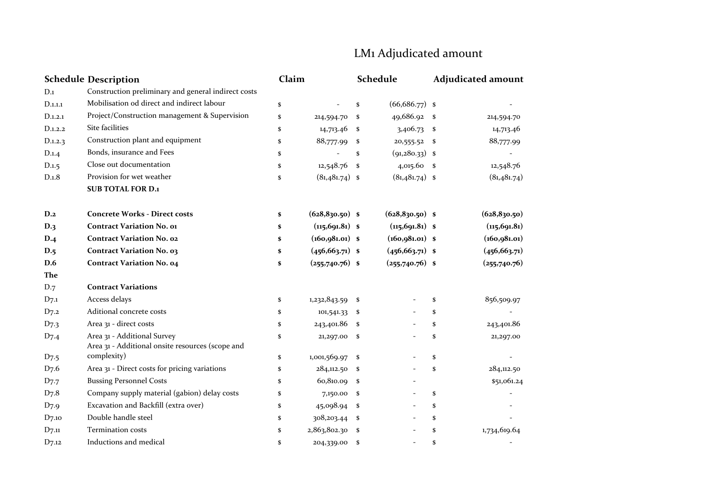## LM1 Adjudicated amount

| <b>Schedule Description</b> |                                                                                 | Claim |                    |      | Schedule           | <b>Adjudicated amount</b> |               |  |
|-----------------------------|---------------------------------------------------------------------------------|-------|--------------------|------|--------------------|---------------------------|---------------|--|
| D.1                         | Construction preliminary and general indirect costs                             |       |                    |      |                    |                           |               |  |
| D.1.1.1                     | Mobilisation od direct and indirect labour                                      | \$    |                    | \$   | $(66,686.77)$ \$   |                           |               |  |
| D.1.2.1                     | Project/Construction management & Supervision                                   | \$    | 214,594.70         | \$   | 49,686.92 \$       |                           | 214,594.70    |  |
| D.1.2.2                     | Site facilities                                                                 | \$    | 14,713.46          | -\$  | 3,406.73           | \$                        | 14,713.46     |  |
| D.1.2.3                     | Construction plant and equipment                                                | \$    | 88,777.99          | - \$ | 20,555.52          | \$                        | 88,777.99     |  |
| D.1.4                       | Bonds, insurance and Fees                                                       | \$    |                    | \$   | (91, 280.33)       | <sup>\$</sup>             |               |  |
| D.1.5                       | Close out documentation                                                         | \$    | $12,548.76$ \$     |      | $4,015.60$ \$      |                           | 12,548.76     |  |
| D.1.8                       | Provision for wet weather                                                       | \$    | $(81,481.74)$ \$   |      | $(81,481.74)$ \$   |                           | (81,481.74)   |  |
|                             | <b>SUB TOTAL FOR D.1</b>                                                        |       |                    |      |                    |                           |               |  |
| D.2                         | <b>Concrete Works - Direct costs</b>                                            | \$    | $(628, 830.50)$ \$ |      | $(628, 830.50)$ \$ |                           | (628, 830.50) |  |
| D.3                         | <b>Contract Variation No. o1</b>                                                | \$    | $(n5, 691.81)$ \$  |      | $(n5, 691.81)$ \$  |                           | (115, 691.81) |  |
| D.4                         | <b>Contract Variation No. 02</b>                                                | \$    | $(160, 981.01)$ \$ |      | $(160, 981.01)$ \$ |                           | (160, 981.01) |  |
| D.5                         | <b>Contract Variation No. 03</b>                                                | \$    | $(456, 663.71)$ \$ |      | $(456, 663.71)$ \$ |                           | (456, 663.71) |  |
| D.6                         | <b>Contract Variation No. 04</b>                                                | \$    | $(255,740.76)$ \$  |      | $(255,740.76)$ \$  |                           | (255,740.76)  |  |
| The                         |                                                                                 |       |                    |      |                    |                           |               |  |
| D.7                         | <b>Contract Variations</b>                                                      |       |                    |      |                    |                           |               |  |
| $D_{7.1}$                   | Access delays                                                                   | \$    | $1,232,843.59$ \$  |      |                    | \$                        | 856,509.97    |  |
| $D_{7.2}$                   | Aditional concrete costs                                                        | \$    | 101,541.33         | - \$ |                    | \$                        |               |  |
| $D_{7.3}$                   | Area 31 - direct costs                                                          | \$    | 243,401.86         | - \$ |                    | \$                        | 243,401.86    |  |
| $D_{7.4}$                   | Area 31 - Additional Survey<br>Area 31 - Additional onsite resources (scope and | \$    | 21,297.00 \$       |      |                    | \$                        | 21,297.00     |  |
| $D_{7.5}$                   | complexity)                                                                     | \$    | 1,001,569.97       | - \$ |                    | \$                        |               |  |
| $D_{7.6}$                   | Area 31 - Direct costs for pricing variations                                   | \$    | 284,112.50         | - \$ |                    | \$                        | 284,112.50    |  |
| $D_{7.7}$                   | <b>Bussing Personnel Costs</b>                                                  | \$    | 60,810.09 \$       |      |                    |                           | \$51,061.24   |  |
| D7.8                        | Company supply material (gabion) delay costs                                    | \$    | 7,150.00           | - \$ |                    | \$                        |               |  |
| D <sub>7</sub> .9           | Excavation and Backfill (extra over)                                            | \$    | 45,098.94          | - \$ |                    | \$                        |               |  |
| $D_{7.10}$                  | Double handle steel                                                             | \$    | 308,203.44         | -\$  |                    | \$                        |               |  |
| $D_{7.11}$                  | Termination costs                                                               | \$    | 2,863,802.30       | - \$ |                    | \$                        | 1,734,619.64  |  |
| D7.12                       | Inductions and medical                                                          | \$    | 204,339.00         | -\$  |                    | \$                        |               |  |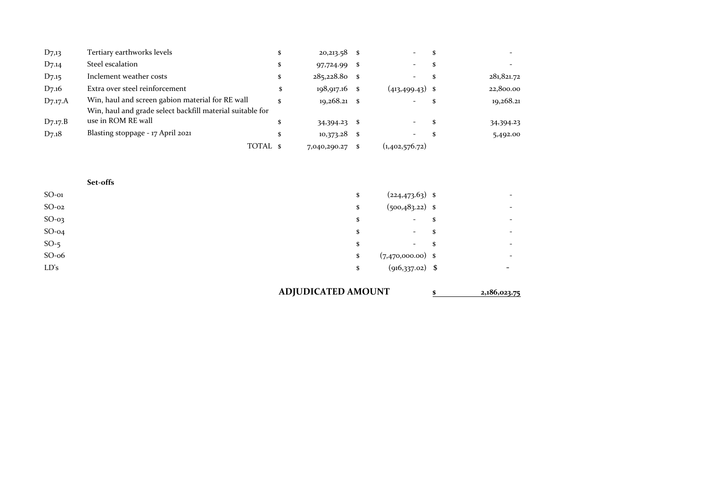| $D_{7,13}$         | Tertiary earthworks levels                                |    | $20,213.58$ \$  |   |                    |            |
|--------------------|-----------------------------------------------------------|----|-----------------|---|--------------------|------------|
| D7.14              | Steel escalation                                          | S  | 97,724.99       | S |                    |            |
| D <sub>7</sub> .15 | Inclement weather costs                                   | \$ | $285,228.80$ \$ |   |                    | 281,821.72 |
| D7.16              | Extra over steel reinforcement                            |    | $198,917.16$ \$ |   | $(413, 499.43)$ \$ | 22,800.00  |
| $D_{7.17}$ .A      | Win, haul and screen gabion material for RE wall          |    | $19,268.21$ \$  |   |                    | 19,268.21  |
|                    | Win, haul and grade select backfill material suitable for |    |                 |   |                    |            |
| $D_{7.17}B$        | use in ROM RE wall                                        |    | 34,394.23 \$    |   |                    | 34,394.23  |
| $D_{7.18}$         | Blasting stoppage - 17 April 2021                         | \$ | $10,373.28$ \$  |   |                    | 5,492.00   |
|                    | TOTAL \$                                                  |    | 7,040,290.27    |   | (1,402,576.72)     |            |

|          | Set-offs                       |                                |
|----------|--------------------------------|--------------------------------|
| $SO$ -01 | $(224, 473.63)$ \$<br>\$       | $\overline{\phantom{a}}$       |
| $SO-02$  | $(500, 483.22)$ \$<br>\$       | $\overline{\phantom{0}}$       |
| $SO-03$  | \$<br><b>Service</b>           | \$<br>$\overline{\phantom{0}}$ |
| $SO-04$  | \$<br>$\overline{\phantom{a}}$ | \$<br>-                        |
| $SO-5$   | $-$ \$<br>\$                   | $\overline{\phantom{0}}$       |
| $SO-06$  | $(7,470,000.00)$ \$<br>\$      | $\overline{\phantom{0}}$       |
| LD's     | $(916,337.02)$ \$<br>\$        | $\overline{\phantom{0}}$       |
|          |                                |                                |

## **ADJUDICATED AMOUNT \$ 2,186,023.75**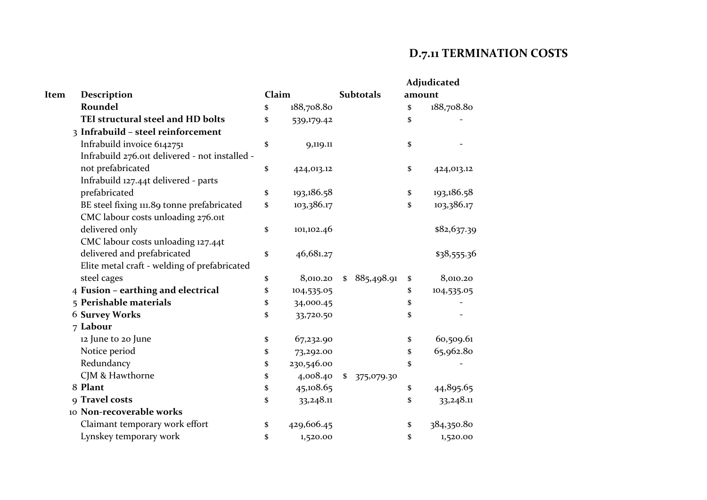## **D.7.11 TERMINATION COSTS**

| Item<br>Description                            |  |    | Claim      | <b>Subtotals</b> | Adjudicated<br>amount |             |  |
|------------------------------------------------|--|----|------------|------------------|-----------------------|-------------|--|
| Roundel                                        |  | \$ | 188,708.80 |                  | \$                    | 188,708.80  |  |
| TEI structural steel and HD bolts              |  | \$ | 539,179.42 |                  | \$                    |             |  |
| 3 Infrabuild - steel reinforcement             |  |    |            |                  |                       |             |  |
| Infrabuild invoice 6142751                     |  | \$ | 9,119.11   |                  | \$                    |             |  |
| Infrabuild 276.oit delivered - not installed - |  |    |            |                  |                       |             |  |
| not prefabricated                              |  | \$ | 424,013.12 |                  | \$                    | 424,013.12  |  |
| Infrabuild 127.44t delivered - parts           |  |    |            |                  |                       |             |  |
| prefabricated                                  |  | \$ | 193,186.58 |                  | \$                    | 193,186.58  |  |
| BE steel fixing 111.89 tonne prefabricated     |  | \$ | 103,386.17 |                  | \$                    | 103,386.17  |  |
| CMC labour costs unloading 276.oit             |  |    |            |                  |                       |             |  |
| delivered only                                 |  | \$ | 101,102.46 |                  |                       | \$82,637.39 |  |
| CMC labour costs unloading 127.44t             |  |    |            |                  |                       |             |  |
| delivered and prefabricated                    |  | \$ | 46,681.27  |                  |                       | \$38,555.36 |  |
| Elite metal craft - welding of prefabricated   |  |    |            |                  |                       |             |  |
| steel cages                                    |  | \$ | 8,010.20   | \$86,498.91      | \$                    | 8,010.20    |  |
| 4 Fusion - earthing and electrical             |  | \$ | 104,535.05 |                  | \$                    | 104,535.05  |  |
| 5 Perishable materials                         |  | \$ | 34,000.45  |                  | \$                    |             |  |
| <b>6 Survey Works</b>                          |  | \$ | 33,720.50  |                  | \$                    |             |  |
| 7 Labour                                       |  |    |            |                  |                       |             |  |
| 12 June to 20 June                             |  | \$ | 67,232.90  |                  | \$                    | 60,509.61   |  |
| Notice period                                  |  | \$ | 73,292.00  |                  | \$                    | 65,962.80   |  |
| Redundancy                                     |  | \$ | 230,546.00 |                  | \$                    |             |  |
| CJM & Hawthorne                                |  | \$ | 4,008.40   | \$<br>375,079.30 |                       |             |  |
| 8 Plant                                        |  | \$ | 45,108.65  |                  | \$                    | 44,895.65   |  |
| 9 Travel costs                                 |  | \$ | 33,248.11  |                  | \$                    | 33,248.11   |  |
| 10 Non-recoverable works                       |  |    |            |                  |                       |             |  |
| Claimant temporary work effort                 |  | \$ | 429,606.45 |                  | \$                    | 384,350.80  |  |
| Lynskey temporary work                         |  | \$ | 1,520.00   |                  | \$                    | 1,520.00    |  |